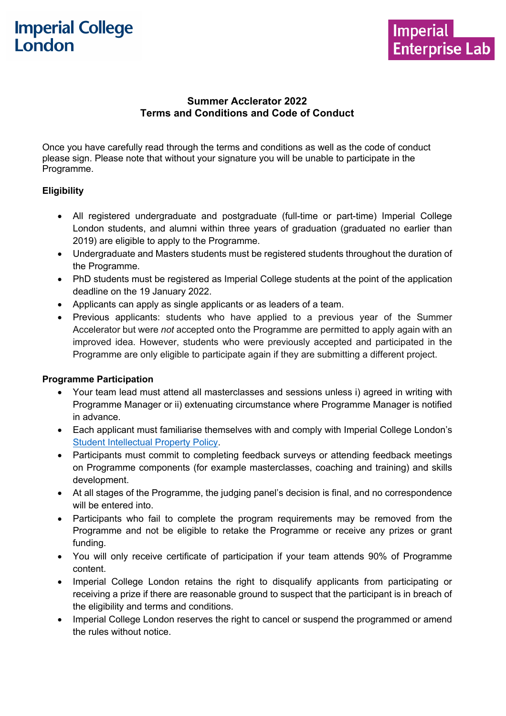

# **Summer Acclerator 2022 Terms and Conditions and Code of Conduct**

Once you have carefully read through the terms and conditions as well as the code of conduct please sign. Please note that without your signature you will be unable to participate in the Programme.

#### **Eligibility**

- All registered undergraduate and postgraduate (full-time or part-time) Imperial College London students, and alumni within three years of graduation (graduated no earlier than 2019) are eligible to apply to the Programme.
- Undergraduate and Masters students must be registered students throughout the duration of the Programme.
- PhD students must be registered as Imperial College students at the point of the application deadline on the 19 January 2022.
- Applicants can apply as single applicants or as leaders of a team.
- Previous applicants: students who have applied to a previous year of the Summer Accelerator but were *not* accepted onto the Programme are permitted to apply again with an improved idea. However, students who were previously accepted and participated in the Programme are only eligible to participate again if they are submitting a different project.

#### **Programme Participation**

- Your team lead must attend all masterclasses and sessions unless i) agreed in writing with Programme Manager or ii) extenuating circumstance where Programme Manager is notified in advance.
- Each applicant must familiarise themselves with and comply with Imperial College London's Student Intellectual Property Policy.
- Participants must commit to completing feedback surveys or attending feedback meetings on Programme components (for example masterclasses, coaching and training) and skills development.
- At all stages of the Programme, the judging panel's decision is final, and no correspondence will be entered into.
- Participants who fail to complete the program requirements may be removed from the Programme and not be eligible to retake the Programme or receive any prizes or grant funding.
- You will only receive certificate of participation if your team attends 90% of Programme content.
- Imperial College London retains the right to disqualify applicants from participating or receiving a prize if there are reasonable ground to suspect that the participant is in breach of the eligibility and terms and conditions.
- Imperial College London reserves the right to cancel or suspend the programmed or amend the rules without notice.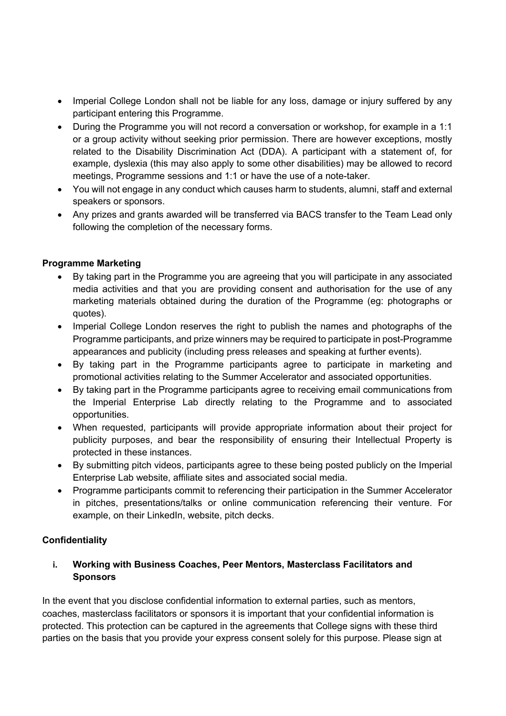- Imperial College London shall not be liable for any loss, damage or injury suffered by any participant entering this Programme.
- During the Programme you will not record a conversation or workshop, for example in a 1:1 or a group activity without seeking prior permission. There are however exceptions, mostly related to the Disability Discrimination Act (DDA). A participant with a statement of, for example, dyslexia (this may also apply to some other disabilities) may be allowed to record meetings, Programme sessions and 1:1 or have the use of a note-taker.
- You will not engage in any conduct which causes harm to students, alumni, staff and external speakers or sponsors.
- Any prizes and grants awarded will be transferred via BACS transfer to the Team Lead only following the completion of the necessary forms.

### **Programme Marketing**

- By taking part in the Programme you are agreeing that you will participate in any associated media activities and that you are providing consent and authorisation for the use of any marketing materials obtained during the duration of the Programme (eg: photographs or quotes).
- Imperial College London reserves the right to publish the names and photographs of the Programme participants, and prize winners may be required to participate in post-Programme appearances and publicity (including press releases and speaking at further events).
- By taking part in the Programme participants agree to participate in marketing and promotional activities relating to the Summer Accelerator and associated opportunities.
- By taking part in the Programme participants agree to receiving email communications from the Imperial Enterprise Lab directly relating to the Programme and to associated opportunities.
- When requested, participants will provide appropriate information about their project for publicity purposes, and bear the responsibility of ensuring their Intellectual Property is protected in these instances.
- By submitting pitch videos, participants agree to these being posted publicly on the Imperial Enterprise Lab website, affiliate sites and associated social media.
- Programme participants commit to referencing their participation in the Summer Accelerator in pitches, presentations/talks or online communication referencing their venture. For example, on their LinkedIn, website, pitch decks.

### **Confidentiality**

#### **i. Working with Business Coaches, Peer Mentors, Masterclass Facilitators and Sponsors**

In the event that you disclose confidential information to external parties, such as mentors, coaches, masterclass facilitators or sponsors it is important that your confidential information is protected. This protection can be captured in the agreements that College signs with these third parties on the basis that you provide your express consent solely for this purpose. Please sign at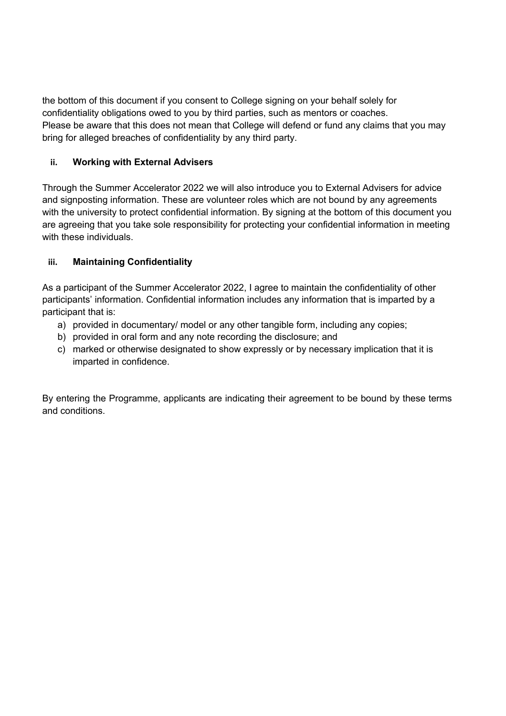the bottom of this document if you consent to College signing on your behalf solely for confidentiality obligations owed to you by third parties, such as mentors or coaches. Please be aware that this does not mean that College will defend or fund any claims that you may bring for alleged breaches of confidentiality by any third party.

# **ii. Working with External Advisers**

Through the Summer Accelerator 2022 we will also introduce you to External Advisers for advice and signposting information. These are volunteer roles which are not bound by any agreements with the university to protect confidential information. By signing at the bottom of this document you are agreeing that you take sole responsibility for protecting your confidential information in meeting with these individuals.

# **iii. Maintaining Confidentiality**

As a participant of the Summer Accelerator 2022, I agree to maintain the confidentiality of other participants' information. Confidential information includes any information that is imparted by a participant that is:

- a) provided in documentary/ model or any other tangible form, including any copies;
- b) provided in oral form and any note recording the disclosure; and
- c) marked or otherwise designated to show expressly or by necessary implication that it is imparted in confidence.

By entering the Programme, applicants are indicating their agreement to be bound by these terms and conditions.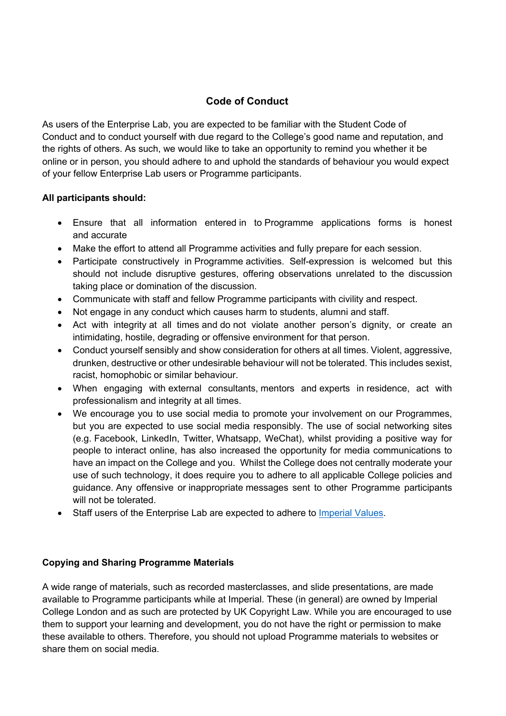# **Code of Conduct**

As users of the Enterprise Lab, you are expected to be familiar with the Student Code of Conduct and to conduct yourself with due regard to the College's good name and reputation, and the rights of others. As such, we would like to take an opportunity to remind you whether it be online or in person, you should adhere to and uphold the standards of behaviour you would expect of your fellow Enterprise Lab users or Programme participants.

#### **All participants should:**

- Ensure that all information entered in to Programme applications forms is honest and accurate
- Make the effort to attend all Programme activities and fully prepare for each session.
- Participate constructively in Programme activities. Self-expression is welcomed but this should not include disruptive gestures, offering observations unrelated to the discussion taking place or domination of the discussion.
- Communicate with staff and fellow Programme participants with civility and respect.
- Not engage in any conduct which causes harm to students, alumni and staff.
- Act with integrity at all times and do not violate another person's dignity, or create an intimidating, hostile, degrading or offensive environment for that person.
- Conduct yourself sensibly and show consideration for others at all times. Violent, aggressive, drunken, destructive or other undesirable behaviour will not be tolerated. This includes sexist, racist, homophobic or similar behaviour.
- When engaging with external consultants, mentors and experts in residence, act with professionalism and integrity at all times.
- We encourage you to use social media to promote your involvement on our Programmes, but you are expected to use social media responsibly. The use of social networking sites (e.g. Facebook, LinkedIn, Twitter, Whatsapp, WeChat), whilst providing a positive way for people to interact online, has also increased the opportunity for media communications to have an impact on the College and you. Whilst the College does not centrally moderate your use of such technology, it does require you to adhere to all applicable College policies and guidance. Any offensive or inappropriate messages sent to other Programme participants will not be tolerated.
- Staff users of the Enterprise Lab are expected to adhere to Imperial Values.

# **Copying and Sharing Programme Materials**

A wide range of materials, such as recorded masterclasses, and slide presentations, are made available to Programme participants while at Imperial. These (in general) are owned by Imperial College London and as such are protected by UK Copyright Law. While you are encouraged to use them to support your learning and development, you do not have the right or permission to make these available to others. Therefore, you should not upload Programme materials to websites or share them on social media.